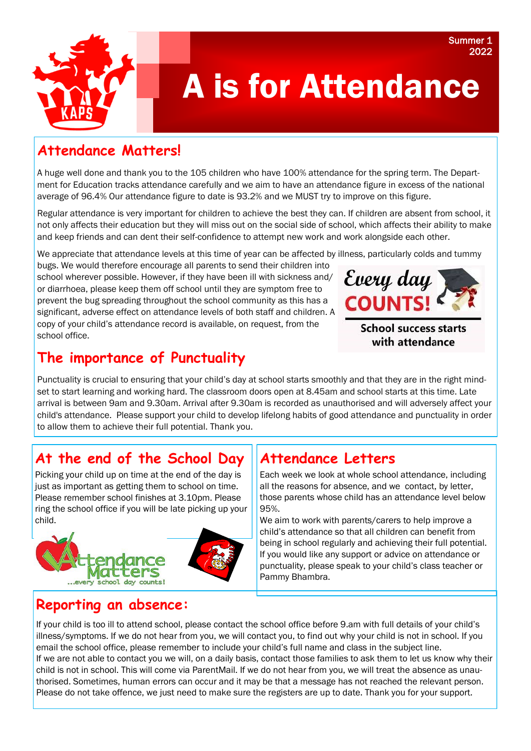## **Attendance Matters!**

A huge well done and thank you to the 105 children who have 100% attendance for the spring term. The Department for Education tracks attendance carefully and we aim to have an attendance figure in excess of the national average of 96.4% Our attendance figure to date is 93.2% and we MUST try to improve on this figure.

Regular attendance is very important for children to achieve the best they can. If children are absent from school, it not only affects their education but they will miss out on the social side of school, which affects their ability to make and keep friends and can dent their self-confidence to attempt new work and work alongside each other.

We appreciate that attendance levels at this time of year can be affected by illness, particularly colds and tummy

bugs. We would therefore encourage all parents to send their children into school wherever possible. However, if they have been ill with sickness and/ or diarrhoea, please keep them off school until they are symptom free to prevent the bug spreading throughout the school community as this has a significant, adverse effect on attendance levels of both staff and children. A copy of your child's attendance record is available, on request, from the school office.



**School success starts** with attendance

## **The importance of Punctuality**

Punctuality is crucial to ensuring that your child's day at school starts smoothly and that they are in the right mindset to start learning and working hard. The classroom doors open at 8.45am and school starts at this time. Late arrival is between 9am and 9.30am. Arrival after 9.30am is recorded as unauthorised and will adversely affect your child's attendance. Please support your child to develop lifelong habits of good attendance and punctuality in order to allow them to achieve their full potential. Thank you.

# **At the end of the School Day**

Picking your child up on time at the end of the day is just as important as getting them to school on time. Please remember school finishes at 3.10pm. Please ring the school office if you will be late picking up your child.



# **Attendance Letters**

Each week we look at whole school attendance, including all the reasons for absence, and we contact, by letter, those parents whose child has an attendance level below 95%.

We aim to work with parents/carers to help improve a child's attendance so that all children can benefit from being in school regularly and achieving their full potential. If you would like any support or advice on attendance or punctuality, please speak to your child's class teacher or Pammy Bhambra.

# **Reporting an absence:**

If your child is too ill to attend school, please contact the school office before 9.am with full details of your child's illness/symptoms. If we do not hear from you, we will contact you, to find out why your child is not in school. If you email the school office, please remember to include your child's full name and class in the subject line. If we are not able to contact you we will, on a daily basis, contact those families to ask them to let us know why their child is not in school. This will come via ParentMail. If we do not hear from you, we will treat the absence as unauthorised. Sometimes, human errors can occur and it may be that a message has not reached the relevant person. Please do not take offence, we just need to make sure the registers are up to date. Thank you for your support.